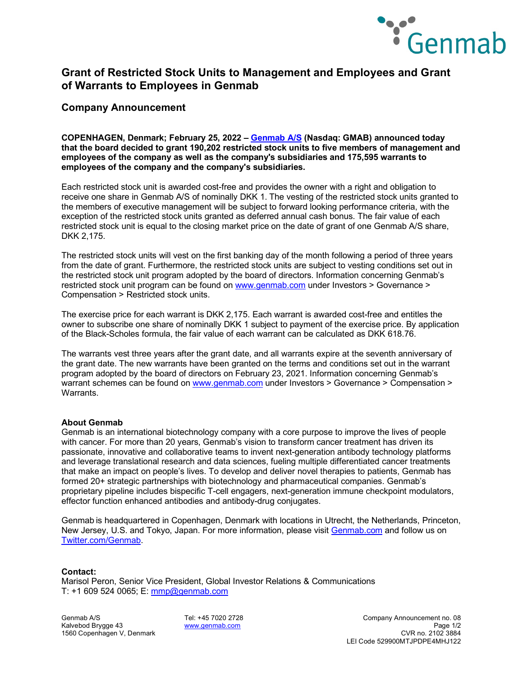

# **Grant of Restricted Stock Units to Management and Employees and Grant of Warrants to Employees in Genmab**

### **Company Announcement**

**COPENHAGEN, Denmark; February 25, 2022 – [Genmab A/S](https://www.genmab.com/) (Nasdaq: GMAB) announced today that the board decided to grant 190,202 restricted stock units to five members of management and employees of the company as well as the company's subsidiaries and 175,595 warrants to employees of the company and the company's subsidiaries.**

Each restricted stock unit is awarded cost-free and provides the owner with a right and obligation to receive one share in Genmab A/S of nominally DKK 1. The vesting of the restricted stock units granted to the members of executive management will be subject to forward looking performance criteria, with the exception of the restricted stock units granted as deferred annual cash bonus. The fair value of each restricted stock unit is equal to the closing market price on the date of grant of one Genmab A/S share, DKK 2,175.

The restricted stock units will vest on the first banking day of the month following a period of three years from the date of grant. Furthermore, the restricted stock units are subject to vesting conditions set out in the restricted stock unit program adopted by the board of directors. Information concerning Genmab's restricted stock unit program can be found on [www.genmab.com](http://www.genmab.com/) under Investors > Governance > Compensation > Restricted stock units.

The exercise price for each warrant is DKK 2,175. Each warrant is awarded cost-free and entitles the owner to subscribe one share of nominally DKK 1 subject to payment of the exercise price. By application of the Black-Scholes formula, the fair value of each warrant can be calculated as DKK 618.76.

The warrants vest three years after the grant date, and all warrants expire at the seventh anniversary of the grant date. The new warrants have been granted on the terms and conditions set out in the warrant program adopted by the board of directors on February 23, 2021. Information concerning Genmab's warrant schemes can be found on [www.genmab.com](http://www.genmab.com/) under Investors > Governance > Compensation > **Warrants** 

### **About Genmab**

Genmab is an international biotechnology company with a core purpose to improve the lives of people with cancer. For more than 20 years, Genmab's vision to transform cancer treatment has driven its passionate, innovative and collaborative teams to invent next-generation antibody technology platforms and leverage translational research and data sciences, fueling multiple differentiated cancer treatments that make an impact on people's lives. To develop and deliver novel therapies to patients, Genmab has formed 20+ strategic partnerships with biotechnology and pharmaceutical companies. Genmab's proprietary pipeline includes bispecific T-cell engagers, next-generation immune checkpoint modulators, effector function enhanced antibodies and antibody-drug conjugates.

Genmab is headquartered in Copenhagen, Denmark with locations in Utrecht, the Netherlands, Princeton, New Jersey, U.S. and Tokyo, Japan. For more information, please visit [Genmab.com](https://protect-us.mimecast.com/s/QcO5C82g3nfWRL1Xt1aChT?domain=genmab.com/) and follow us on [Twitter.com/Genmab.](https://twitter.com/Genmab)

### **Contact:**

Marisol Peron, Senior Vice President, Global Investor Relations & Communications T: +1 609 524 0065; E: [mmp@genmab.com](mailto:mmp@genmab.com)

1560 Copenhagen V, Denmark

Genmab A/S Tel: +45 7020 2728 Company Announcement no. 08 Kalvebod Brygge 43 [www.genmab.com](http://www.genmab.com/) Page 1/2 LEI Code 529900MTJPDPE4MHJ122